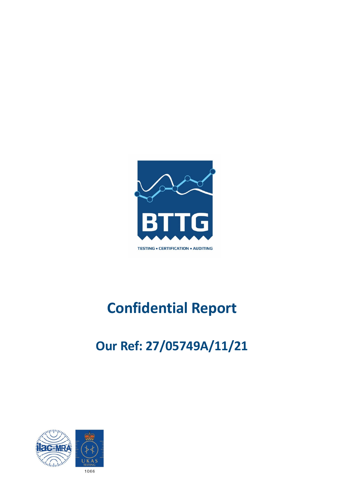

# **Confidential Report**

# **Our Ref: 27/05749A/11/21**

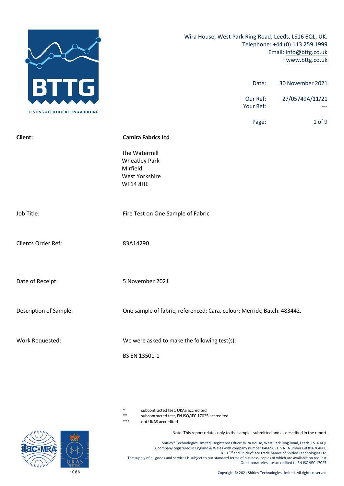

- subcontracted test, UKAS accredited
- \*\* subcontracted test, EN ISO/IEC 17025 accredited
- not UKAS accredited

Note: This report relates only to the samples submitted and as described in the report.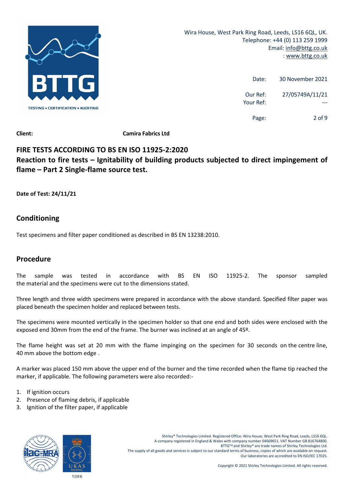

| 30 November 2021 | Date:                 |
|------------------|-----------------------|
| 27/05749A/11/21  | Our Ref:<br>Your Ref: |
| 2 of 9           | Page:                 |

# **FIRE TESTS ACCORDING TO BS EN ISO 11925‐2:2020 Reaction to fire tests – Ignitability of building products subjected to direct impingement of flame – Part 2 Single‐flame source test.**

**Date of Test: 24/11/21**

# **Conditioning**

Test specimens and filter paper conditioned as described in BS EN 13238:2010.

# **Procedure**

The sample was tested in accordance with BS EN ISO 11925‐2. The sponsor sampled the material and the specimens were cut to the dimensions stated.

Three length and three width specimens were prepared in accordance with the above standard. Specified filter paper was placed beneath the specimen holder and replaced between tests.

The specimens were mounted vertically in the specimen holder so that one end and both sides were enclosed with the exposed end 30mm from the end of the frame. The burner was inclined at an angle of 45º.

The flame height was set at 20 mm with the flame impinging on the specimen for 30 seconds on the centre line, 40 mm above the bottom edge .

A marker was placed 150 mm above the upper end of the burner and the time recorded when the flame tip reached the marker, if applicable. The following parameters were also recorded:‐

- 1. If ignition occurs
- 2. Presence of flaming debris, if applicable
- 3. Ignition of the filter paper, if applicable

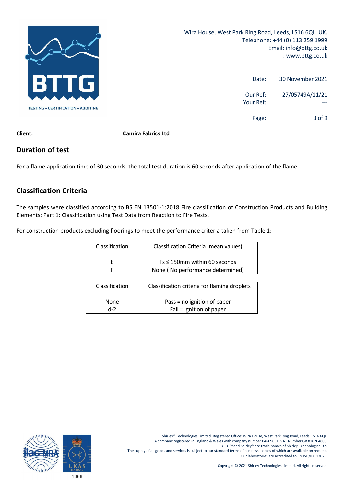

| 30 November 2021 | Date:                 |
|------------------|-----------------------|
| 27/05749A/11/21  | Our Ref:<br>Your Ref: |
| $3$ of 9         | Page:                 |

**Client: Camira Fabrics Ltd**

## **Duration of test**

For a flame application time of 30 seconds, the total test duration is 60 seconds after application of the flame.

# **Classification Criteria**

The samples were classified according to BS EN 13501‐1:2018 Fire classification of Construction Products and Building Elements: Part 1: Classification using Test Data from Reaction to Fire Tests.

For construction products excluding floorings to meet the performance criteria taken from Table 1:

| Classification | Classification Criteria (mean values) |
|----------------|---------------------------------------|
|                |                                       |
|                | $Fs \leq 150$ mm within 60 seconds    |
|                | None (No performance determined)      |

| Classification | Classification criteria for flaming droplets |
|----------------|----------------------------------------------|
|                |                                              |
|                |                                              |
|                |                                              |
| <b>None</b>    | Pass = no ignition of paper                  |
|                |                                              |
| $d-2$          | Fail = Ignition of paper                     |
|                |                                              |

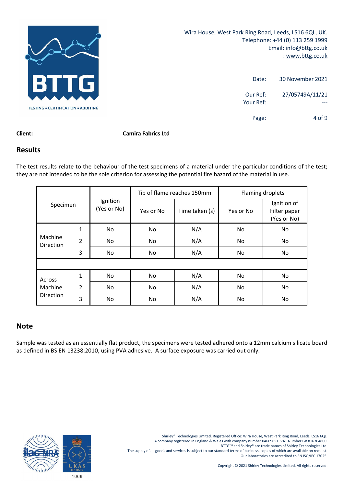

| 30 November 2021 | Date:                 |
|------------------|-----------------------|
| 27/05749A/11/21  | Our Ref:<br>Your Ref: |
| $4$ of 9         | Page:                 |

#### **Client: Camira Fabrics Ltd**

#### **Results**

The test results relate to the behaviour of the test specimens of a material under the particular conditions of the test; they are not intended to be the sole criterion for assessing the potential fire hazard of the material in use.

|                             |                |                         | Tip of flame reaches 150mm |                | Flaming droplets |                                            |
|-----------------------------|----------------|-------------------------|----------------------------|----------------|------------------|--------------------------------------------|
| Specimen                    |                | Ignition<br>(Yes or No) | Yes or No                  | Time taken (s) | Yes or No        | Ignition of<br>Filter paper<br>(Yes or No) |
|                             | 1              | No                      | No                         | N/A            | No.              | No.                                        |
| Machine<br><b>Direction</b> | $\overline{2}$ | No.                     | No                         | N/A            | No.              | No                                         |
|                             | 3              | No                      | No                         | N/A            | No               | No                                         |
|                             |                |                         |                            |                |                  |                                            |
| Across                      | 1              | No                      | No                         | N/A            | No               | No                                         |
| Machine                     | $\overline{2}$ | No                      | No                         | N/A            | No.              | No.                                        |
| Direction                   | 3              | No.                     | No                         | N/A            | No               | No                                         |

### **Note**

Sample was tested as an essentially flat product, the specimens were tested adhered onto a 12mm calcium silicate board as defined in BS EN 13238:2010, using PVA adhesive. A surface exposure was carried out only.

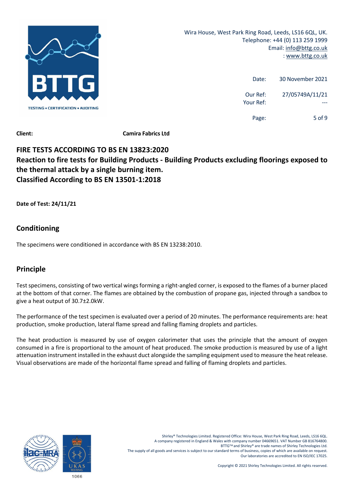

| 30 November 2021 | Date:                 |
|------------------|-----------------------|
| 27/05749A/11/21  | Our Ref:<br>Your Ref: |
| 5 of 9           | Page:                 |

# **FIRE TESTS ACCORDING TO BS EN 13823:2020 Reaction to fire tests for Building Products ‐ Building Products excluding floorings exposed to the thermal attack by a single burning item. Classified According to BS EN 13501‐1:2018**

**Date of Test: 24/11/21**

# **Conditioning**

The specimens were conditioned in accordance with BS EN 13238:2010.

# **Principle**

Test specimens, consisting of two vertical wings forming a right-angled corner, is exposed to the flames of a burner placed at the bottom of that corner. The flames are obtained by the combustion of propane gas, injected through a sandbox to give a heat output of 30.7±2.0kW.

The performance of the test specimen is evaluated over a period of 20 minutes. The performance requirements are: heat production, smoke production, lateral flame spread and falling flaming droplets and particles.

The heat production is measured by use of oxygen calorimeter that uses the principle that the amount of oxygen consumed in a fire is proportional to the amount of heat produced. The smoke production is measured by use of a light attenuation instrument installed in the exhaust duct alongside the sampling equipment used to measure the heat release. Visual observations are made of the horizontal flame spread and falling of flaming droplets and particles.

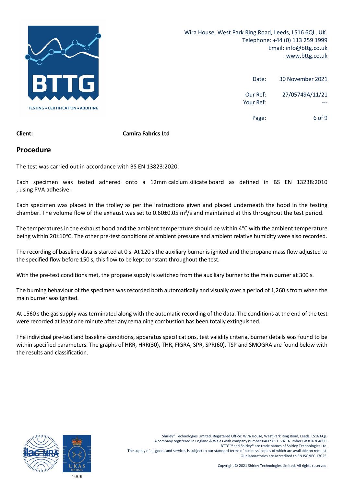

| 30 November 2021 | Date:                 |
|------------------|-----------------------|
| 27/05749A/11/21  | Our Ref:<br>Your Ref: |
| 6 of 9           | Page:                 |

#### **Client: Camira Fabrics Ltd**

#### **Procedure**

The test was carried out in accordance with BS EN 13823:2020.

Each specimen was tested adhered onto a 12mm calcium silicate board as defined in BS EN 13238:2010 , using PVA adhesive.

Each specimen was placed in the trolley as per the instructions given and placed underneath the hood in the testing chamber. The volume flow of the exhaust was set to 0.60±0.05  $m^3/s$  and maintained at this throughout the test period.

The temperatures in the exhaust hood and the ambient temperature should be within 4°C with the ambient temperature being within 20±10°C. The other pre-test conditions of ambient pressure and ambient relative humidity were also recorded.

The recording of baseline data is started at 0 s. At 120 s the auxiliary burner is ignited and the propane mass flow adjusted to the specified flow before 150 s, this flow to be kept constant throughout the test.

With the pre-test conditions met, the propane supply is switched from the auxiliary burner to the main burner at 300 s.

The burning behaviour of the specimen was recorded both automatically and visually over a period of 1,260 s from when the main burner was ignited.

At 1560 s the gas supply was terminated along with the automatic recording of the data. The conditions at the end of the test were recorded at least one minute after any remaining combustion has been totally extinguished.

The individual pre‐test and baseline conditions, apparatus specifications, test validity criteria, burner details was found to be within specified parameters. The graphs of HRR, HRR(30), THR, FIGRA, SPR, SPR(60), TSP and SMOGRA are found below with the results and classification.

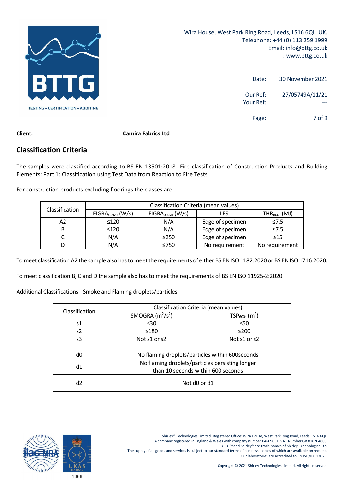![](_page_7_Picture_0.jpeg)

| 30 November 2021 | Date:                 |
|------------------|-----------------------|
| 27/05749A/11/21  | Our Ref:<br>Your Ref: |
| 7 of 9           | Page:                 |

### **Classification Criteria**

The samples were classified according to BS EN 13501:2018 Fire classification of Construction Products and Building Elements: Part 1: Classification using Test Data from Reaction to Fire Tests.

For construction products excluding floorings the classes are:

| <b>Classification</b> | Classification Criteria (mean values) |                                                |                  |                |  |
|-----------------------|---------------------------------------|------------------------------------------------|------------------|----------------|--|
|                       | FIGRA <sub>0.2MJ</sub> (W/s)          | $FIGRA0.4MJ$ (W/s)<br>$THR_{600s}$ (MJ)<br>LFS |                  |                |  |
| А2                    | $\leq 120$                            | N/A                                            | Edge of specimen | $\leq 7.5$     |  |
| B                     | ≤120                                  | N/A                                            | Edge of specimen | $\leq 7.5$     |  |
|                       | N/A                                   | $\leq$ 250                                     | Edge of specimen | $\leq 15$      |  |
| D                     | N/A                                   | ≤750                                           | No requirement   | No requirement |  |

To meet classification A2 the sample also has to meet the requirements of either BS EN ISO 1182:2020 or BS EN ISO 1716:2020.

To meet classification B, C and D the sample also has to meet the requirements of BS EN ISO 11925‐2:2020.

Additional Classifications ‐ Smoke and Flaming droplets/particles

| Classification | Classification Criteria (mean values)           |                                                  |  |
|----------------|-------------------------------------------------|--------------------------------------------------|--|
|                | SMOGRA $(m^2/s^2)$                              | $TSP600s$ (m <sup>2</sup> )                      |  |
| s1             | $\leq 30$                                       | $\leq 50$                                        |  |
| s2             | ≤180                                            | $≤200$                                           |  |
| s3             | Not s1 or s2                                    | Not s1 or s2                                     |  |
|                |                                                 |                                                  |  |
| d0             |                                                 | No flaming droplets/particles within 600 seconds |  |
| d1             | No flaming droplets/particles persisting longer |                                                  |  |
|                | than 10 seconds within 600 seconds              |                                                  |  |
| d2             | Not d0 or d1                                    |                                                  |  |

BTTG™ and Shirley® are trade names of Shirley Technologies Ltd.

The supply of all goods and services is subject to our standard terms of business, copies of which are available on request. Our laboratories are accredited to EN ISO/IEC 17025.

![](_page_7_Picture_16.jpeg)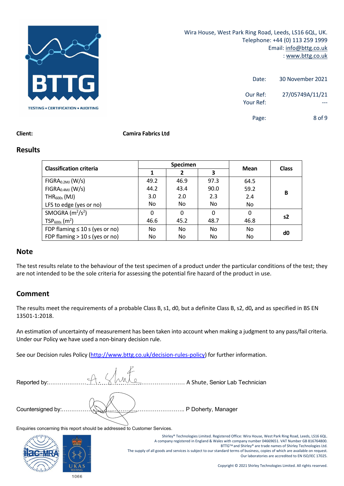![](_page_8_Picture_0.jpeg)

| 30 November 2021              | Date:                 |
|-------------------------------|-----------------------|
| 27/05749A/11/21               | Our Ref:<br>Your Ref: |
| 8 <sub>0</sub> f <sub>9</sub> | Page:                 |

#### **Client: Camira Fabrics Ltd**

#### **Results**

| <b>Classification criteria</b>      | <b>Specimen</b> |          |          |           |                |
|-------------------------------------|-----------------|----------|----------|-----------|----------------|
|                                     |                 | 2        | 3        | Mean      | <b>Class</b>   |
| FIGRA <sub>0.2MJ</sub> (W/s)        | 49.2            | 46.9     | 97.3     | 64.5      |                |
| FIGRA <sub>0.4MJ</sub> (W/s)        | 44.2            | 43.4     | 90.0     | 59.2      |                |
| $THR600s$ (MJ)                      | 3.0             | 2.0      | 2.3      | 2.4       | В              |
| LFS to edge (yes or no)             | No.             | No       | No.      | No        |                |
| SMOGRA $(m^2/s^2)$                  | 0               | $\Omega$ | $\Omega$ | 0         |                |
| $TSP600s$ (m <sup>2</sup> )         | 46.6            | 45.2     | 48.7     | 46.8      | s <sub>2</sub> |
| FDP flaming $\leq 10$ s (yes or no) | No              | No       | No.      | No        | d0             |
| FDP flaming $>$ 10 s (yes or no)    | No.             | No       | No       | <b>No</b> |                |

#### **Note**

The test results relate to the behaviour of the test specimen of a product under the particular conditions of the test; they are not intended to be the sole criteria for assessing the potential fire hazard of the product in use.

#### **Comment**

The results meet the requirements of a probable Class B, s1, d0, but a definite Class B, s2, d0**,** and as specified in BS EN 13501‐1:2018.

An estimation of uncertainty of measurement has been taken into account when making a judgment to any pass/fail criteria. Under our Policy we have used a non‐binary decision rule.

See our Decision rules Policy (http://www.bttg.co.uk/decision-rules-policy) for further information.

| Reported by:. | 14<br>$\epsilon/\lambda$ | A Shute, Senior Lab Technician |
|---------------|--------------------------|--------------------------------|
|               |                          | P Doherty, Manager             |

Enquiries concerning this report should be addressed to Customer Services.

![](_page_8_Picture_15.jpeg)